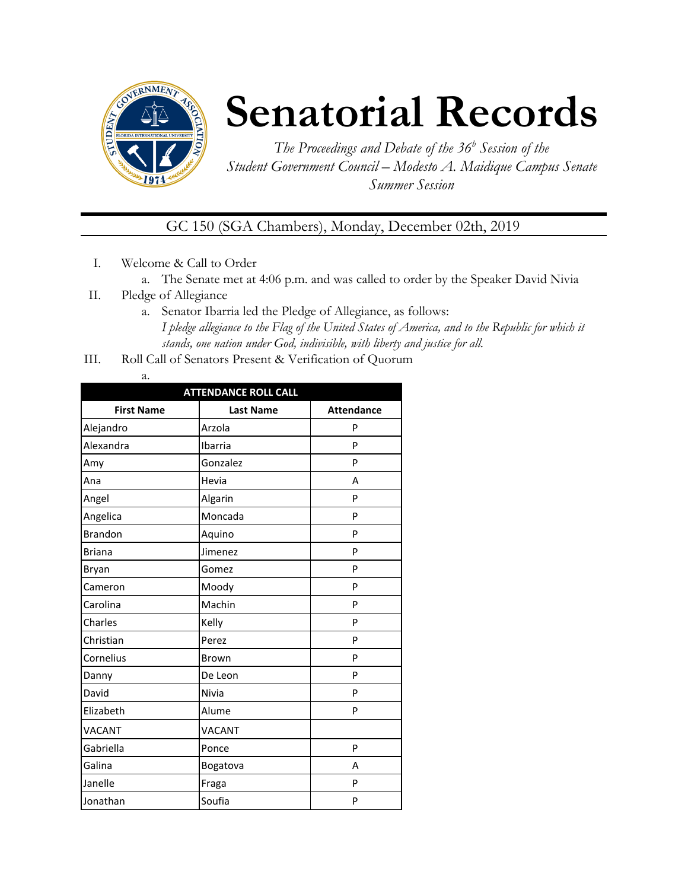

# **Senatorial Records**

*The Proceedings and Debate of the 36 <sup>h</sup> Session of the Student Government Council – Modesto A. Maidique Campus Senate Summer Session*

GC 150 (SGA Chambers), Monday, December 02th, 2019

- I. Welcome & Call to Order
	- a. The Senate met at 4:06 p.m. and was called to order by the Speaker David Nivia
- II. Pledge of Allegiance
	- a. Senator Ibarria led the Pledge of Allegiance, as follows: *I pledge allegiance to the Flag of the United States of America, and to the Republic for which it stands, one nation under God, indivisible, with liberty and justice for all.*
- III. Roll Call of Senators Present & Verification of Quorum
	- a.

| <b>ATTENDANCE ROLL CALL</b> |                  |                   |  |  |  |
|-----------------------------|------------------|-------------------|--|--|--|
| <b>First Name</b>           | <b>Last Name</b> | <b>Attendance</b> |  |  |  |
| Alejandro                   | Arzola           | P                 |  |  |  |
| Alexandra                   | Ibarria          | P                 |  |  |  |
| Amy                         | Gonzalez         | P                 |  |  |  |
| Ana                         | Hevia            | A                 |  |  |  |
| Angel                       | Algarin          | P                 |  |  |  |
| Angelica                    | Moncada          | P                 |  |  |  |
| <b>Brandon</b>              | Aquino           | P                 |  |  |  |
| <b>Briana</b>               | Jimenez          | P                 |  |  |  |
| Bryan                       | Gomez            | P                 |  |  |  |
| Cameron                     | Moody            | P                 |  |  |  |
| Carolina                    | Machin           | P                 |  |  |  |
| Charles                     | Kelly            | P                 |  |  |  |
| Christian                   | Perez            | P                 |  |  |  |
| Cornelius                   | Brown            | P                 |  |  |  |
| Danny                       | De Leon          | P                 |  |  |  |
| David                       | Nivia            | P                 |  |  |  |
| Elizabeth                   | Alume            | P                 |  |  |  |
| <b>VACANT</b>               | VACANT           |                   |  |  |  |
| Gabriella                   | Ponce            | P                 |  |  |  |
| Galina                      | Bogatova         | A                 |  |  |  |
| Janelle                     | Fraga            | P                 |  |  |  |
| Jonathan                    | Soufia           | P                 |  |  |  |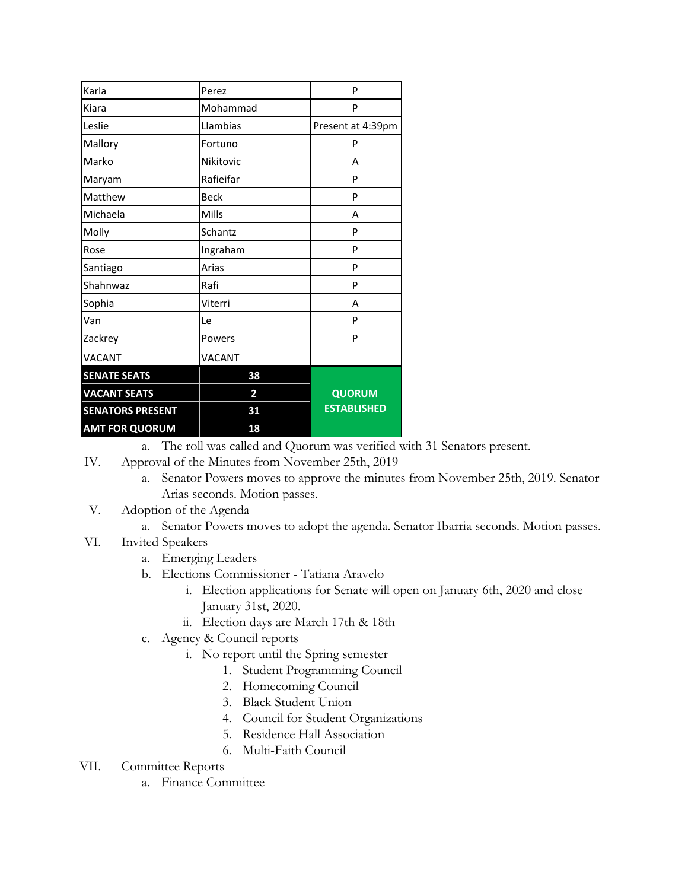| Karla                   | Perez                   | P                  |
|-------------------------|-------------------------|--------------------|
| Kiara                   | Mohammad                | P                  |
| Leslie                  | Llambias                | Present at 4:39pm  |
| Mallory                 | Fortuno                 | P                  |
| Marko                   | Nikitovic               | А                  |
| Maryam                  | Rafieifar               | P                  |
| Matthew                 | <b>Beck</b>             | P                  |
| Michaela                | Mills                   | А                  |
| Molly                   | Schantz                 | P                  |
| Rose                    | Ingraham                | P                  |
| Santiago                | Arias                   | P                  |
| Shahnwaz                | Rafi                    | P                  |
| Sophia                  | Viterri                 | A                  |
| Van                     | Le                      | P                  |
| Zackrey                 | Powers                  | P                  |
| <b>VACANT</b>           | <b>VACANT</b>           |                    |
| <b>SENATE SEATS</b>     | 38                      |                    |
| <b>VACANT SEATS</b>     | $\overline{\mathbf{2}}$ | <b>QUORUM</b>      |
| <b>SENATORS PRESENT</b> | 31                      | <b>ESTABLISHED</b> |
| <b>AMT FOR QUORUM</b>   | 18                      |                    |

a. The roll was called and Quorum was verified with 31 Senators present.

- IV. Approval of the Minutes from November 25th, 2019
	- a. Senator Powers moves to approve the minutes from November 25th, 2019. Senator Arias seconds. Motion passes.
- V. Adoption of the Agenda
	- a. Senator Powers moves to adopt the agenda. Senator Ibarria seconds. Motion passes.
- VI. Invited Speakers
	- a. Emerging Leaders
	- b. Elections Commissioner Tatiana Aravelo
		- i. Election applications for Senate will open on January 6th, 2020 and close January 31st, 2020.
		- ii. Election days are March 17th & 18th
	- c. Agency & Council reports
		- i. No report until the Spring semester
			- 1. Student Programming Council
			- 2. Homecoming Council
			- 3. Black Student Union
			- 4. Council for Student Organizations
			- 5. Residence Hall Association
			- 6. Multi-Faith Council

## VII. Committee Reports

a. Finance Committee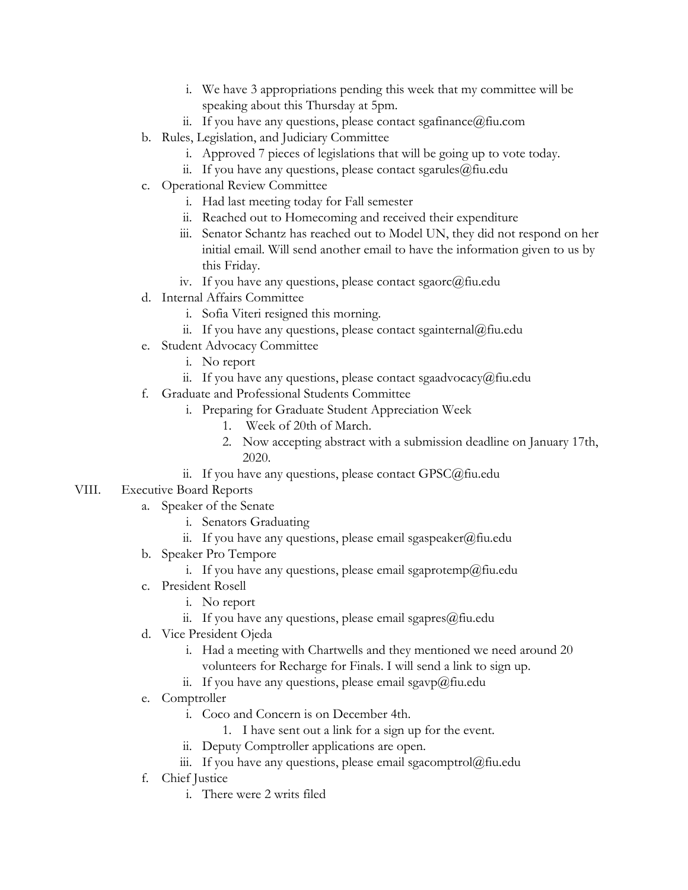- i. We have 3 appropriations pending this week that my committee will be speaking about this Thursday at 5pm.
- ii. If you have any questions, please contact sgafinance  $@$  fiu.com
- b. Rules, Legislation, and Judiciary Committee
	- i. Approved 7 pieces of legislations that will be going up to vote today.
	- ii. If you have any questions, please contact sgarules  $(\partial)$  fiu.edu
- c. Operational Review Committee
	- i. Had last meeting today for Fall semester
	- ii. Reached out to Homecoming and received their expenditure
	- iii. Senator Schantz has reached out to Model UN, they did not respond on her initial email. Will send another email to have the information given to us by this Friday.
	- iv. If you have any questions, please contact sgaorc@fiu.edu
- d. Internal Affairs Committee
	- i. Sofia Viteri resigned this morning.
	- ii. If you have any questions, please contact sgainternal@fiu.edu
- e. Student Advocacy Committee
	- i. No report
	- ii. If you have any questions, please contact sgaadvocacy@fiu.edu
- f. Graduate and Professional Students Committee
	- i. Preparing for Graduate Student Appreciation Week
		- 1. Week of 20th of March.
		- 2. Now accepting abstract with a submission deadline on January 17th, 2020.
	- ii. If you have any questions, please contact GPSC@fiu.edu

### VIII. Executive Board Reports

- a. Speaker of the Senate
	- i. Senators Graduating
	- ii. If you have any questions, please email sgaspeaker@fiu.edu
- b. Speaker Pro Tempore
	- i. If you have any questions, please email sgaprotemp@fiu.edu
- c. President Rosell
	- i. No report
	- ii. If you have any questions, please email sgapres $@$ fiu.edu
- d. Vice President Ojeda
	- i. Had a meeting with Chartwells and they mentioned we need around 20 volunteers for Recharge for Finals. I will send a link to sign up.
	- ii. If you have any questions, please email sgavp $\omega$ fiu.edu
- e. Comptroller
	- i. Coco and Concern is on December 4th.
		- 1. I have sent out a link for a sign up for the event.
	- ii. Deputy Comptroller applications are open.
	- iii. If you have any questions, please email sgacomptrol@fiu.edu
- f. Chief Justice
	- i. There were 2 writs filed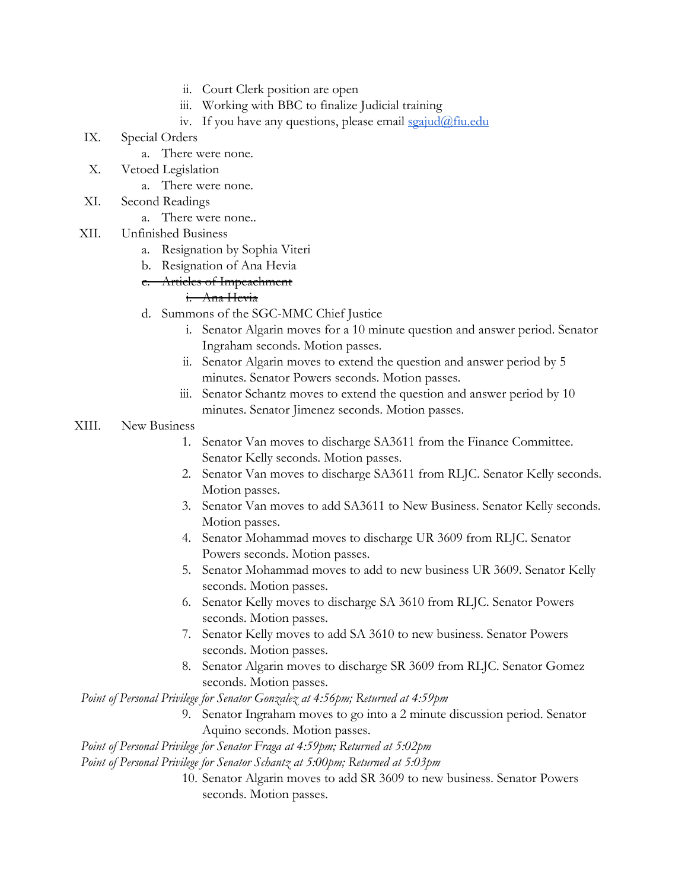- ii. Court Clerk position are open
- iii. Working with BBC to finalize Judicial training
- iv. If you have any questions, please email  $\frac{\sigma}{\sigma}$   $\frac{\sigma}{\sigma}$   $\frac{\sigma}{\sigma}$
- IX. Special Orders
	- a. There were none.
- X. Vetoed Legislation
	- a. There were none.
- XI. Second Readings
	- a. There were none..
- XII. Unfinished Business
	- a. Resignation by Sophia Viteri
	- b. Resignation of Ana Hevia
	- e. Articles of Impeachment

### i. Ana Hevia

- d. Summons of the SGC-MMC Chief Justice
	- i. Senator Algarin moves for a 10 minute question and answer period. Senator Ingraham seconds. Motion passes.
	- ii. Senator Algarin moves to extend the question and answer period by 5 minutes. Senator Powers seconds. Motion passes.
	- iii. Senator Schantz moves to extend the question and answer period by 10 minutes. Senator Jimenez seconds. Motion passes.

### XIII. New Business

- 1. Senator Van moves to discharge SA3611 from the Finance Committee. Senator Kelly seconds. Motion passes.
- 2. Senator Van moves to discharge SA3611 from RLJC. Senator Kelly seconds. Motion passes.
- 3. Senator Van moves to add SA3611 to New Business. Senator Kelly seconds. Motion passes.
- 4. Senator Mohammad moves to discharge UR 3609 from RLJC. Senator Powers seconds. Motion passes.
- 5. Senator Mohammad moves to add to new business UR 3609. Senator Kelly seconds. Motion passes.
- 6. Senator Kelly moves to discharge SA 3610 from RLJC. Senator Powers seconds. Motion passes.
- 7. Senator Kelly moves to add SA 3610 to new business. Senator Powers seconds. Motion passes.
- 8. Senator Algarin moves to discharge SR 3609 from RLJC. Senator Gomez seconds. Motion passes.

*Point of Personal Privilege for Senator Gonzalez at 4:56pm; Returned at 4:59pm*

9. Senator Ingraham moves to go into a 2 minute discussion period. Senator Aquino seconds. Motion passes.

*Point of Personal Privilege for Senator Fraga at 4:59pm; Returned at 5:02pm*

*Point of Personal Privilege for Senator Schantz at 5:00pm; Returned at 5:03pm*

10. Senator Algarin moves to add SR 3609 to new business. Senator Powers seconds. Motion passes.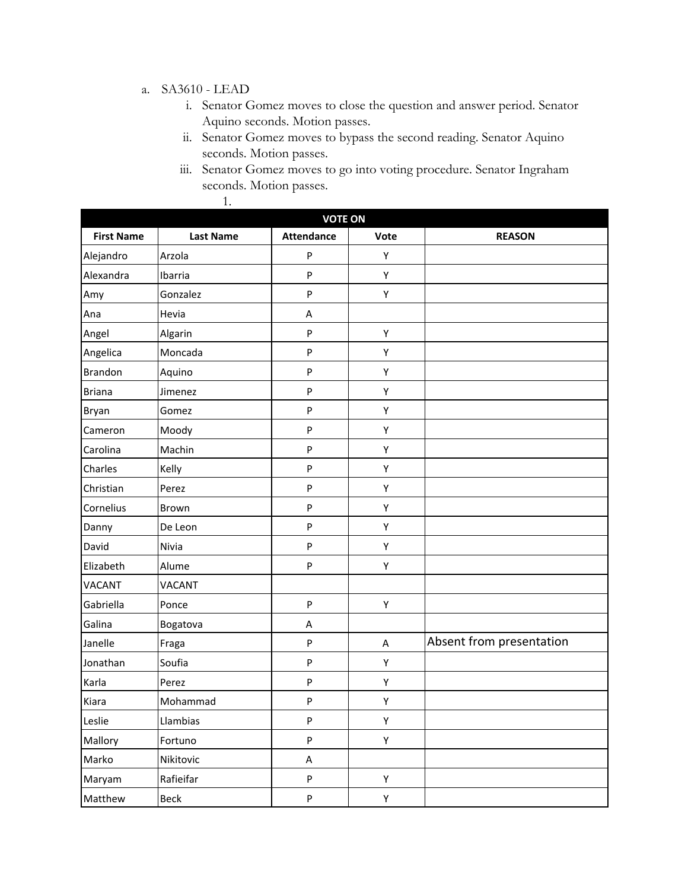### a. SA3610 - LEAD

1.

- i. Senator Gomez moves to close the question and answer period. Senator Aquino seconds. Motion passes.
- ii. Senator Gomez moves to bypass the second reading. Senator Aquino seconds. Motion passes.
- iii. Senator Gomez moves to go into voting procedure. Senator Ingraham seconds. Motion passes.

| <b>VOTE ON</b>    |                  |                           |      |                          |  |
|-------------------|------------------|---------------------------|------|--------------------------|--|
| <b>First Name</b> | <b>Last Name</b> | <b>Attendance</b>         | Vote | <b>REASON</b>            |  |
| Alejandro         | Arzola           | P                         | Υ    |                          |  |
| Alexandra         | Ibarria          | P                         | Υ    |                          |  |
| Amy               | Gonzalez         | P                         | Υ    |                          |  |
| Ana               | Hevia            | А                         |      |                          |  |
| Angel             | Algarin          | ${\sf P}$                 | Υ    |                          |  |
| Angelica          | Moncada          | P                         | Υ    |                          |  |
| <b>Brandon</b>    | Aquino           | ${\sf P}$                 | Υ    |                          |  |
| <b>Briana</b>     | Jimenez          | ${\sf P}$                 | Υ    |                          |  |
| Bryan             | Gomez            | ${\sf P}$                 | Υ    |                          |  |
| Cameron           | Moody            | ${\sf P}$                 | Υ    |                          |  |
| Carolina          | Machin           | P                         | Υ    |                          |  |
| Charles           | Kelly            | ${\sf P}$                 | Υ    |                          |  |
| Christian         | Perez            | P                         | Υ    |                          |  |
| Cornelius         | Brown            | ${\sf P}$                 | Υ    |                          |  |
| Danny             | De Leon          | P                         | Υ    |                          |  |
| David             | Nivia            | ${\sf P}$                 | Υ    |                          |  |
| Elizabeth         | Alume            | ${\sf P}$                 | Υ    |                          |  |
| <b>VACANT</b>     | <b>VACANT</b>    |                           |      |                          |  |
| Gabriella         | Ponce            | ${\sf P}$                 | Υ    |                          |  |
| Galina            | Bogatova         | А                         |      |                          |  |
| Janelle           | Fraga            | ${\sf P}$                 | Α    | Absent from presentation |  |
| Jonathan          | Soufia           | ${\sf P}$                 | Υ    |                          |  |
| Karla             | Perez            | ${\sf P}$                 | Υ    |                          |  |
| Kiara             | Mohammad         | ${\sf P}$                 | Υ    |                          |  |
| Leslie            | Llambias         | P                         | Υ    |                          |  |
| Mallory           | Fortuno          | $\boldsymbol{\mathsf{P}}$ | Υ    |                          |  |
| Marko             | Nikitovic        | A                         |      |                          |  |
| Maryam            | Rafieifar        | ${\sf P}$                 | Υ    |                          |  |
| Matthew           | Beck             | ${\sf P}$                 | Υ    |                          |  |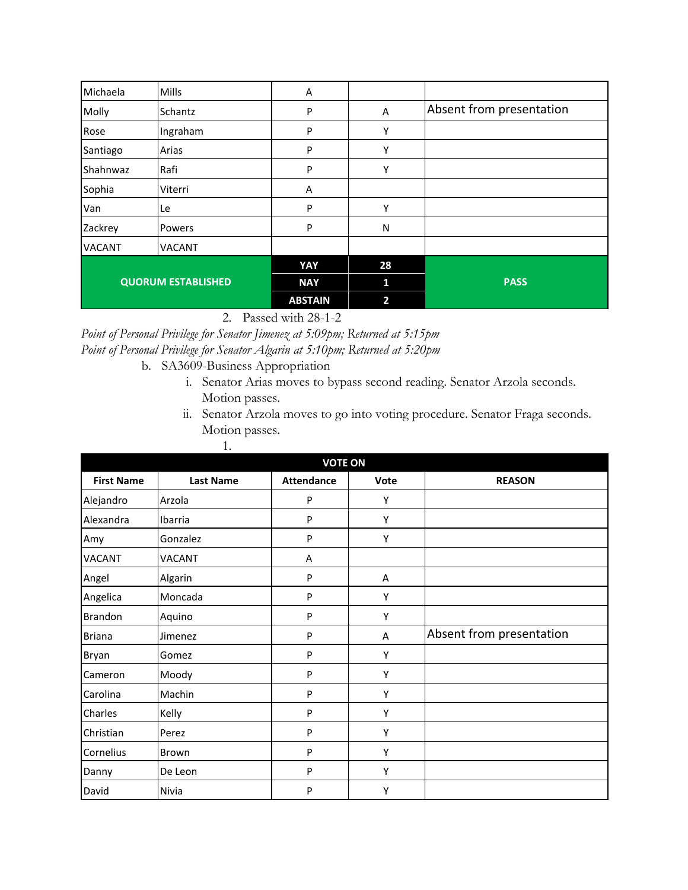| Michaela                  | Mills         | A              |    |                          |
|---------------------------|---------------|----------------|----|--------------------------|
| Molly                     | Schantz       | P              | Α  | Absent from presentation |
| Rose                      | Ingraham      | P              | Υ  |                          |
| Santiago                  | Arias         | P              | Υ  |                          |
| Shahnwaz                  | Rafi          | P              | Y  |                          |
| Sophia                    | Viterri       | A              |    |                          |
| Van                       | Le            | P              | Υ  |                          |
| Zackrey                   | Powers        | P              | N  |                          |
| <b>VACANT</b>             | <b>VACANT</b> |                |    |                          |
| <b>QUORUM ESTABLISHED</b> |               | YAY            | 28 |                          |
|                           |               | <b>NAY</b>     | n  | <b>PASS</b>              |
|                           |               | <b>ABSTAIN</b> | 2  |                          |

2. Passed with 28-1-2

*Point of Personal Privilege for Senator Jimenez at 5:09pm; Returned at 5:15pm Point of Personal Privilege for Senator Algarin at 5:10pm; Returned at 5:20pm*

- b. SA3609-Business Appropriation
	- i. Senator Arias moves to bypass second reading. Senator Arzola seconds. Motion passes.
	- ii. Senator Arzola moves to go into voting procedure. Senator Fraga seconds. Motion passes. 1.

|                   | <b>VOTE ON</b>   |                   |      |                          |  |  |
|-------------------|------------------|-------------------|------|--------------------------|--|--|
| <b>First Name</b> | <b>Last Name</b> | <b>Attendance</b> | Vote | <b>REASON</b>            |  |  |
| Alejandro         | Arzola           | P                 | Υ    |                          |  |  |
| Alexandra         | Ibarria          | P                 | Υ    |                          |  |  |
| Amy               | Gonzalez         | P                 | Υ    |                          |  |  |
| <b>VACANT</b>     | <b>VACANT</b>    | A                 |      |                          |  |  |
| Angel             | Algarin          | P                 | Α    |                          |  |  |
| Angelica          | Moncada          | P                 | Y    |                          |  |  |
| Brandon           | Aquino           | P                 | Y    |                          |  |  |
| <b>Briana</b>     | Jimenez          | P                 | Α    | Absent from presentation |  |  |
| Bryan             | Gomez            | P                 | Υ    |                          |  |  |
| Cameron           | Moody            | P                 | Υ    |                          |  |  |
| Carolina          | Machin           | P                 | Υ    |                          |  |  |
| Charles           | Kelly            | P                 | Y    |                          |  |  |
| Christian         | Perez            | P                 | Y    |                          |  |  |
| Cornelius         | Brown            | P                 | Y    |                          |  |  |
| Danny             | De Leon          | P                 | Υ    |                          |  |  |
| David             | Nivia            | P                 | Y    |                          |  |  |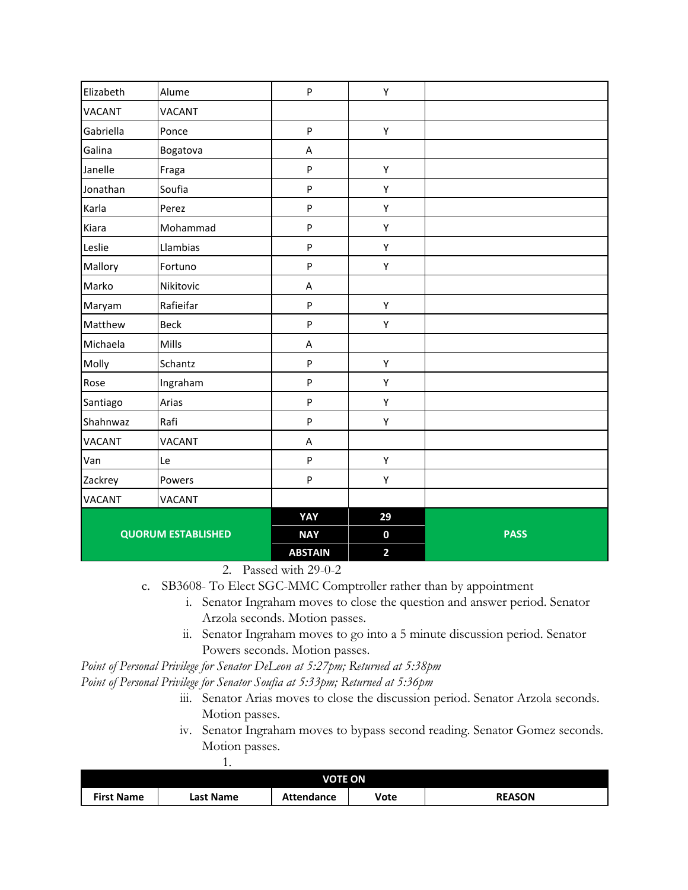| Elizabeth     | Alume                     | P              | Υ                       |             |
|---------------|---------------------------|----------------|-------------------------|-------------|
| <b>VACANT</b> | <b>VACANT</b>             |                |                         |             |
| Gabriella     | Ponce                     | P              | Υ                       |             |
| Galina        | Bogatova                  | A              |                         |             |
| Janelle       | Fraga                     | P              | Υ                       |             |
| Jonathan      | Soufia                    | P              | Υ                       |             |
| Karla         | Perez                     | P              | Υ                       |             |
| Kiara         | Mohammad                  | P              | Υ                       |             |
| Leslie        | Llambias                  | P              | Υ                       |             |
| Mallory       | Fortuno                   | P              | Υ                       |             |
| Marko         | Nikitovic                 | A              |                         |             |
| Maryam        | Rafieifar                 | P              | Υ                       |             |
| Matthew       | <b>Beck</b>               | P              | Υ                       |             |
| Michaela      | Mills                     | A              |                         |             |
| Molly         | Schantz                   | P              | Υ                       |             |
| Rose          | Ingraham                  | P              | Υ                       |             |
| Santiago      | Arias                     | P              | Υ                       |             |
| Shahnwaz      | Rafi                      | P              | Υ                       |             |
| <b>VACANT</b> | <b>VACANT</b>             | A              |                         |             |
| Van           | Le                        | P              | Υ                       |             |
| Zackrey       | Powers                    | P              | Υ                       |             |
| <b>VACANT</b> | VACANT                    |                |                         |             |
|               |                           | YAY            | 29                      |             |
|               | <b>QUORUM ESTABLISHED</b> | <b>NAY</b>     | $\mathbf 0$             | <b>PASS</b> |
|               |                           | <b>ABSTAIN</b> | $\overline{\mathbf{2}}$ |             |

2. Passed with 29-0-2

- c. SB3608- To Elect SGC-MMC Comptroller rather than by appointment
	- i. Senator Ingraham moves to close the question and answer period. Senator Arzola seconds. Motion passes.
	- ii. Senator Ingraham moves to go into a 5 minute discussion period. Senator Powers seconds. Motion passes.

*Point of Personal Privilege for Senator DeLeon at 5:27pm; Returned at 5:38pm*

*Point of Personal Privilege for Senator Soufia at 5:33pm; Returned at 5:36pm*

1.

- iii. Senator Arias moves to close the discussion period. Senator Arzola seconds. Motion passes.
- iv. Senator Ingraham moves to bypass second reading. Senator Gomez seconds. Motion passes.

| <b>VOTE ON</b>    |           |                   |      |               |
|-------------------|-----------|-------------------|------|---------------|
| <b>First Name</b> | Last Name | <b>Attendance</b> | Vote | <b>REASON</b> |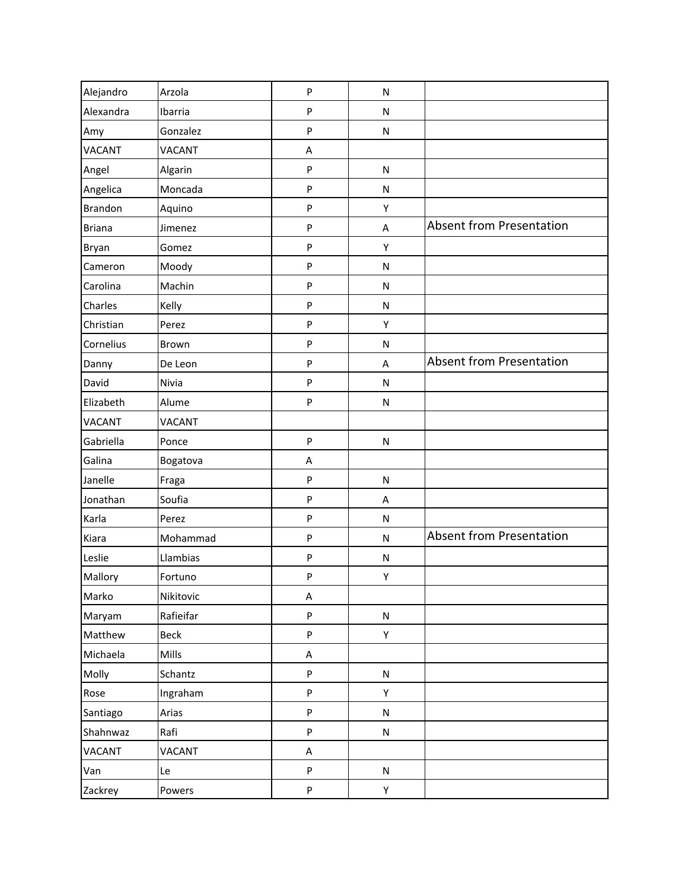| Alejandro      | Arzola        | P | N         |                                 |
|----------------|---------------|---|-----------|---------------------------------|
| Alexandra      | Ibarria       | P | N         |                                 |
| Amy            | Gonzalez      | P | N         |                                 |
| <b>VACANT</b>  | <b>VACANT</b> | A |           |                                 |
| Angel          | Algarin       | P | N         |                                 |
| Angelica       | Moncada       | P | N         |                                 |
| <b>Brandon</b> | Aquino        | P | Υ         |                                 |
| <b>Briana</b>  | Jimenez       | P | A         | <b>Absent from Presentation</b> |
| Bryan          | Gomez         | P | Υ         |                                 |
| Cameron        | Moody         | P | N         |                                 |
| Carolina       | Machin        | P | ${\sf N}$ |                                 |
| Charles        | Kelly         | P | N         |                                 |
| Christian      | Perez         | P | Υ         |                                 |
| Cornelius      | Brown         | P | N         |                                 |
| Danny          | De Leon       | P | A         | <b>Absent from Presentation</b> |
| David          | Nivia         | P | N         |                                 |
| Elizabeth      | Alume         | P | N         |                                 |
| <b>VACANT</b>  | <b>VACANT</b> |   |           |                                 |
| Gabriella      | Ponce         | P | N         |                                 |
| Galina         | Bogatova      | A |           |                                 |
| Janelle        | Fraga         | P | N         |                                 |
| Jonathan       | Soufia        | P | A         |                                 |
| Karla          | Perez         | P | N         |                                 |
| Kiara          | Mohammad      | P | N         | <b>Absent from Presentation</b> |
| Leslie         | Llambias      | P | N         |                                 |
| Mallory        | Fortuno       | P | Υ         |                                 |
| Marko          | Nikitovic     | А |           |                                 |
| Maryam         | Rafieifar     | P | N         |                                 |
| Matthew        | Beck          | P | Υ         |                                 |
| Michaela       | Mills         | А |           |                                 |
| Molly          | Schantz       | P | N         |                                 |
| Rose           | Ingraham      | P | Υ         |                                 |
| Santiago       | Arias         | P | N         |                                 |
| Shahnwaz       | Rafi          | P | N         |                                 |
| VACANT         | <b>VACANT</b> | A |           |                                 |
| Van            | Le            | P | N         |                                 |
| Zackrey        | Powers        | P | Υ         |                                 |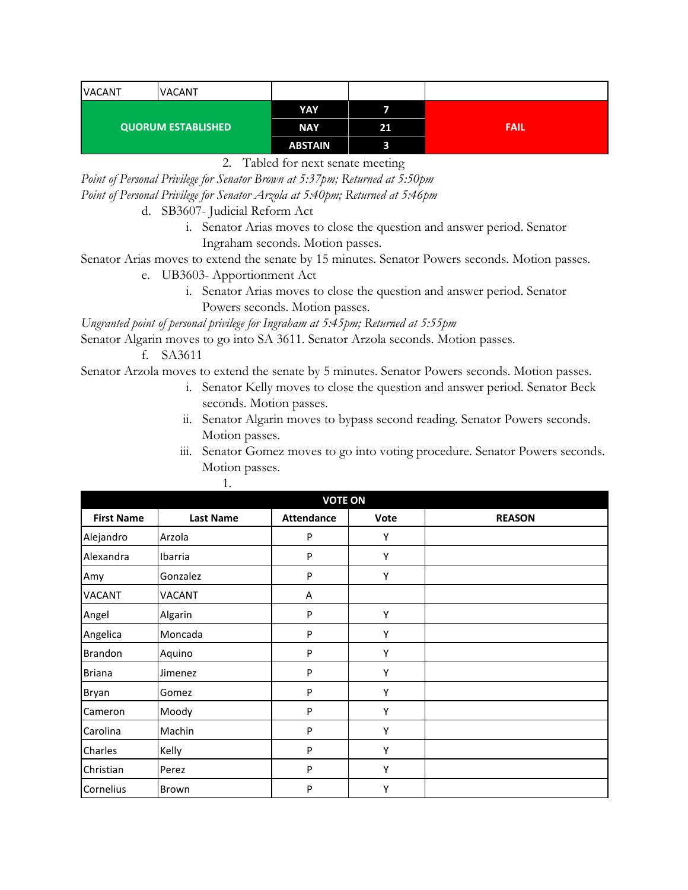| <b>VACANT</b> | <b>VACANT</b> |                |    |             |
|---------------|---------------|----------------|----|-------------|
|               |               | YAY            |    |             |
|               |               | <b>NAY</b>     | 21 | <b>FAIL</b> |
|               |               | <b>ABSTAIN</b> |    |             |

2. Tabled for next senate meeting

*Point of Personal Privilege for Senator Brown at 5:37pm; Returned at 5:50pm Point of Personal Privilege for Senator Arzola at 5:40pm; Returned at 5:46pm*

d. SB3607- Judicial Reform Act

i. Senator Arias moves to close the question and answer period. Senator Ingraham seconds. Motion passes.

Senator Arias moves to extend the senate by 15 minutes. Senator Powers seconds. Motion passes.

- e. UB3603- Apportionment Act
	- i. Senator Arias moves to close the question and answer period. Senator Powers seconds. Motion passes.

*Ungranted point of personal privilege for Ingraham at 5:45pm; Returned at 5:55pm*

Senator Algarin moves to go into SA 3611. Senator Arzola seconds. Motion passes.

f. SA3611

Senator Arzola moves to extend the senate by 5 minutes. Senator Powers seconds. Motion passes.

- i. Senator Kelly moves to close the question and answer period. Senator Beck seconds. Motion passes.
- ii. Senator Algarin moves to bypass second reading. Senator Powers seconds. Motion passes.
- iii. Senator Gomez moves to go into voting procedure. Senator Powers seconds. Motion passes.

| <b>VOTE ON</b>    |                  |                   |      |               |
|-------------------|------------------|-------------------|------|---------------|
| <b>First Name</b> | <b>Last Name</b> | <b>Attendance</b> | Vote | <b>REASON</b> |
| Alejandro         | Arzola           | P                 | Υ    |               |
| Alexandra         | Ibarria          | P                 | Υ    |               |
| Amy               | Gonzalez         | P                 | Y    |               |
| <b>VACANT</b>     | <b>VACANT</b>    | Α                 |      |               |
| Angel             | Algarin          | P                 | Υ    |               |
| Angelica          | Moncada          | P                 | Υ    |               |
| Brandon           | Aquino           | P                 | Υ    |               |
| <b>Briana</b>     | Jimenez          | P                 | Υ    |               |
| Bryan             | Gomez            | P                 | Υ    |               |
| Cameron           | Moody            | P                 | Y    |               |
| Carolina          | Machin           | P                 | Υ    |               |
| Charles           | Kelly            | P                 | Υ    |               |
| Christian         | Perez            | P                 | Y    |               |
| Cornelius         | Brown            | P                 | Υ    |               |

1.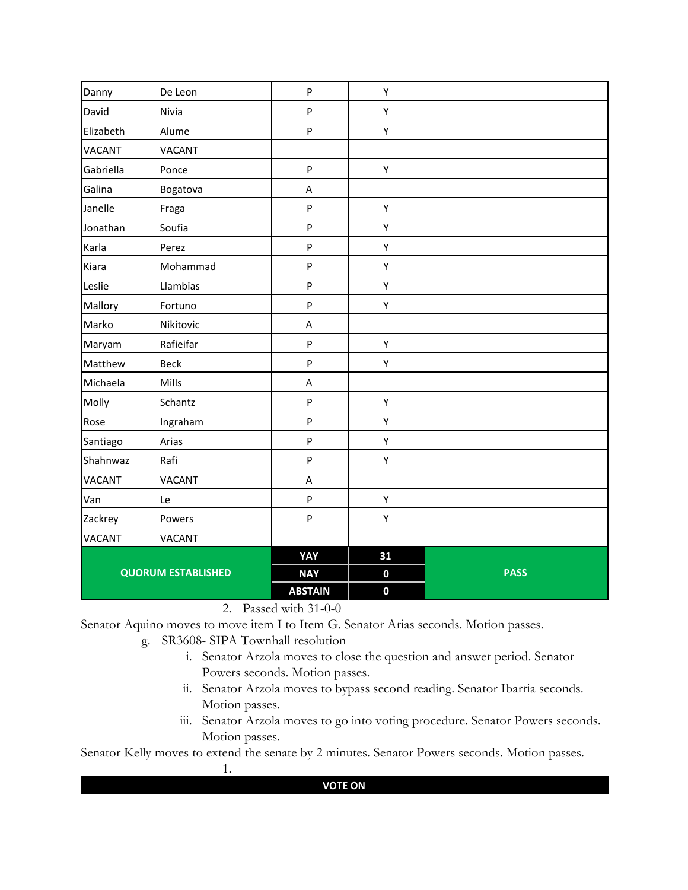| Danny         | De Leon                   | $\mathsf{P}$              | Υ           |             |
|---------------|---------------------------|---------------------------|-------------|-------------|
| David         | Nivia                     | P                         | Υ           |             |
| Elizabeth     | Alume                     | $\sf P$                   | Υ           |             |
| <b>VACANT</b> | <b>VACANT</b>             |                           |             |             |
| Gabriella     | Ponce                     | $\mathsf{P}$              | Υ           |             |
| Galina        | Bogatova                  | A                         |             |             |
| Janelle       | Fraga                     | ${\sf P}$                 | Υ           |             |
| Jonathan      | Soufia                    | $\mathsf{P}$              | Υ           |             |
| Karla         | Perez                     | P                         | Υ           |             |
| Kiara         | Mohammad                  | P                         | Υ           |             |
| Leslie        | Llambias                  | ${\sf P}$                 | Υ           |             |
| Mallory       | Fortuno                   | $\sf P$                   | Υ           |             |
| Marko         | Nikitovic                 | $\sf A$                   |             |             |
| Maryam        | Rafieifar                 | ${\sf P}$                 | Υ           |             |
| Matthew       | <b>Beck</b>               | P                         | Υ           |             |
| Michaela      | Mills                     | A                         |             |             |
| Molly         | Schantz                   | $\sf P$                   | Υ           |             |
| Rose          | Ingraham                  | P                         | Υ           |             |
| Santiago      | Arias                     | P                         | Υ           |             |
| Shahnwaz      | Rafi                      | $\mathsf{P}$              | Υ           |             |
| <b>VACANT</b> | <b>VACANT</b>             | A                         |             |             |
| Van           | Le                        | $\boldsymbol{\mathsf{P}}$ | Υ           |             |
| Zackrey       | Powers                    | P                         | Υ           |             |
| VACANT        | <b>VACANT</b>             |                           |             |             |
|               |                           | YAY                       | 31          |             |
|               | <b>QUORUM ESTABLISHED</b> | <b>NAY</b>                | $\mathbf 0$ | <b>PASS</b> |
|               |                           | <b>ABSTAIN</b>            | $\mathbf 0$ |             |

2. Passed with 31-0-0

Senator Aquino moves to move item I to Item G. Senator Arias seconds. Motion passes.

- g. SR3608- SIPA Townhall resolution
	- i. Senator Arzola moves to close the question and answer period. Senator Powers seconds. Motion passes.
	- ii. Senator Arzola moves to bypass second reading. Senator Ibarria seconds. Motion passes.
	- iii. Senator Arzola moves to go into voting procedure. Senator Powers seconds. Motion passes.

Senator Kelly moves to extend the senate by 2 minutes. Senator Powers seconds. Motion passes.

1.

**VOTE ON**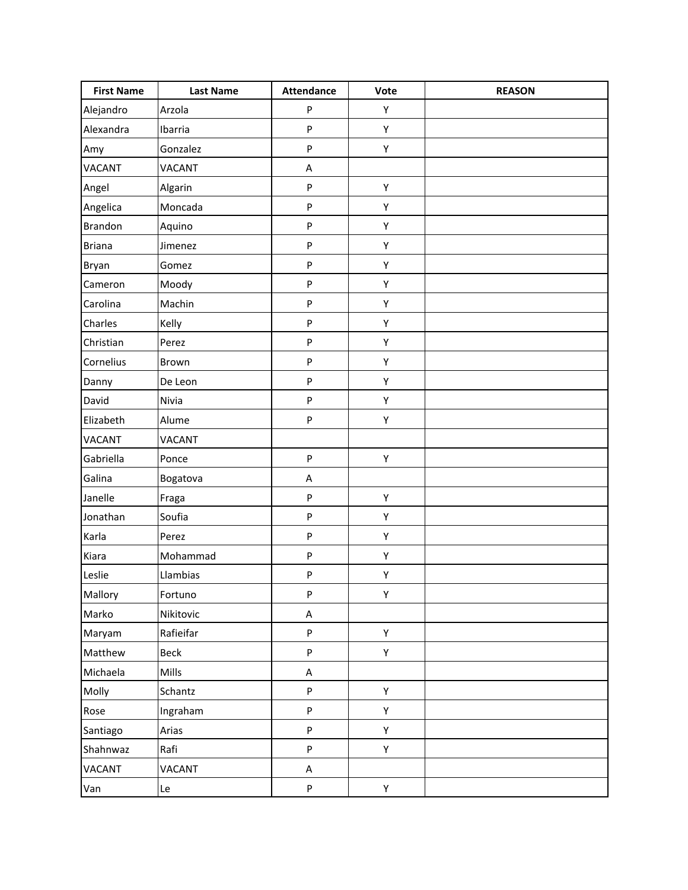| <b>First Name</b> | <b>Last Name</b> | <b>Attendance</b> | Vote | <b>REASON</b> |
|-------------------|------------------|-------------------|------|---------------|
| Alejandro         | Arzola           | P                 | Υ    |               |
| Alexandra         | Ibarria          | P                 | Υ    |               |
| Amy               | Gonzalez         | P                 | Υ    |               |
| <b>VACANT</b>     | <b>VACANT</b>    | $\mathsf A$       |      |               |
| Angel             | Algarin          | P                 | Υ    |               |
| Angelica          | Moncada          | P                 | Υ    |               |
| <b>Brandon</b>    | Aquino           | P                 | Υ    |               |
| <b>Briana</b>     | Jimenez          | P                 | Υ    |               |
| Bryan             | Gomez            | P                 | Υ    |               |
| Cameron           | Moody            | P                 | Υ    |               |
| Carolina          | Machin           | P                 | Υ    |               |
| Charles           | Kelly            | P                 | Υ    |               |
| Christian         | Perez            | P                 | Υ    |               |
| Cornelius         | Brown            | P                 | Υ    |               |
| Danny             | De Leon          | P                 | Υ    |               |
| David             | Nivia            | P                 | Υ    |               |
| Elizabeth         | Alume            | P                 | Υ    |               |
| <b>VACANT</b>     | <b>VACANT</b>    |                   |      |               |
| Gabriella         | Ponce            | P                 | Υ    |               |
| Galina            | Bogatova         | $\mathsf A$       |      |               |
| Janelle           | Fraga            | P                 | Υ    |               |
| Jonathan          | Soufia           | P                 | Υ    |               |
| Karla             | Perez            | P                 | Υ    |               |
| Kiara             | Mohammad         | P                 | Υ    |               |
| Leslie            | Llambias         | ${\sf P}$         | Υ    |               |
| Mallory           | Fortuno          | P                 | Υ    |               |
| Marko             | Nikitovic        | A                 |      |               |
| Maryam            | Rafieifar        | P                 | Υ    |               |
| Matthew           | Beck             | P                 | Υ    |               |
| Michaela          | Mills            | A                 |      |               |
| Molly             | Schantz          | P                 | Y    |               |
| Rose              | Ingraham         | P                 | Y    |               |
| Santiago          | Arias            | P                 | Y    |               |
| Shahnwaz          | Rafi             | P                 | Υ    |               |
| <b>VACANT</b>     | <b>VACANT</b>    | A                 |      |               |
| Van               | Le               | P                 | Υ    |               |